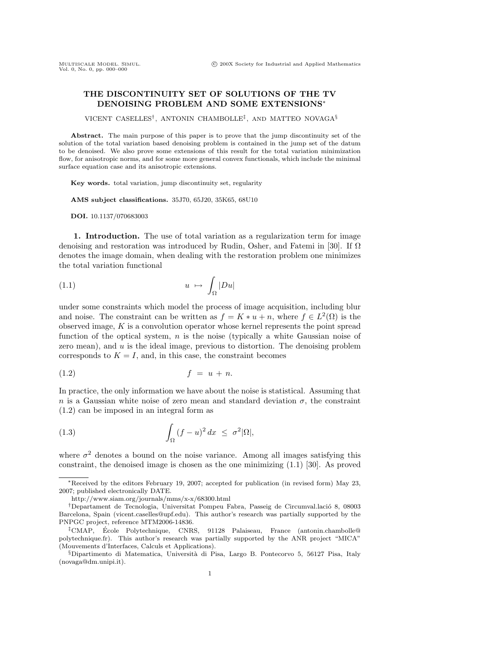## **THE DISCONTINUITY SET OF SOLUTIONS OF THE TV DENOISING PROBLEM AND SOME EXTENSIONS**<sup>∗</sup>

VICENT CASELLES†, ANTONIN CHAMBOLLE‡, AND MATTEO NOVAGA§

**Abstract.** The main purpose of this paper is to prove that the jump discontinuity set of the solution of the total variation based denoising problem is contained in the jump set of the datum to be denoised. We also prove some extensions of this result for the total variation minimization flow, for anisotropic norms, and for some more general convex functionals, which include the minimal surface equation case and its anisotropic extensions.

**Key words.** total variation, jump discontinuity set, regularity

**AMS subject classifications.** 35J70, 65J20, 35K65, 68U10

**DOI.** 10.1137/070683003

**1. Introduction.** The use of total variation as a regularization term for image denoising and restoration was introduced by Rudin, Osher, and Fatemi in [30]. If  $\Omega$ denotes the image domain, when dealing with the restoration problem one minimizes the total variation functional

$$
(1.1) \t u \mapsto \int_{\Omega} |Du|
$$

under some constraints which model the process of image acquisition, including blur and noise. The constraint can be written as  $f = K * u + n$ , where  $f \in L^2(\Omega)$  is the observed image,  $K$  is a convolution operator whose kernel represents the point spread function of the optical system,  $n$  is the noise (typically a white Gaussian noise of zero mean), and u is the ideal image, previous to distortion. The denoising problem corresponds to  $K = I$ , and, in this case, the constraint becomes

$$
(1.2) \t\t f = u + n.
$$

In practice, the only information we have about the noise is statistical. Assuming that n is a Gaussian white noise of zero mean and standard deviation  $\sigma$ , the constraint (1.2) can be imposed in an integral form as

(1.3) 
$$
\int_{\Omega} (f - u)^2 dx \leq \sigma^2 |\Omega|,
$$

where  $\sigma^2$  denotes a bound on the noise variance. Among all images satisfying this constraint, the denoised image is chosen as the one minimizing (1.1) [30]. As proved

<sup>∗</sup>Received by the editors February 19, 2007; accepted for publication (in revised form) May 23, 2007; published electronically DATE.

http://www.siam.org/journals/mms/x-x/68300.html

<sup>&</sup>lt;sup>†</sup>Departament de Tecnologia, Universitat Pompeu Fabra, Passeig de Circumval.lació 8, 08003 Barcelona, Spain (vicent.caselles@upf.edu). This author's research was partially supported by the PNPGC project, reference MTM2006-14836.

<sup>‡</sup>CMAP, Ecole Polytechnique, CNRS, 91128 Palaiseau, France (antonin.chambolle@ ´ polytechnique.fr). This author's research was partially supported by the ANR project "MICA" (Mouvements d'Interfaces, Calculs et Applications).

 $\S$ Dipartimento di Matematica, Università di Pisa, Largo B. Pontecorvo 5, 56127 Pisa, Italy (novaga@dm.unipi.it).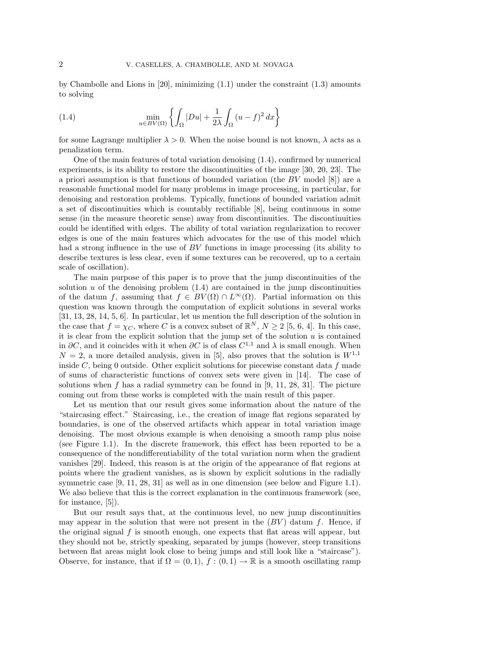by Chambolle and Lions in  $[20]$ , minimizing  $(1.1)$  under the constraint  $(1.3)$  amounts to solving

(1.4) 
$$
\min_{u \in BV(\Omega)} \left\{ \int_{\Omega} |Du| + \frac{1}{2\lambda} \int_{\Omega} (u-f)^2 dx \right\}
$$

for some Lagrange multiplier  $\lambda > 0$ . When the noise bound is not known,  $\lambda$  acts as a penalization term.

One of the main features of total variation denoising (1.4), confirmed by numerical experiments, is its ability to restore the discontinuities of the image [30, 20, 23]. The a priori assumption is that functions of bounded variation (the BV model [8]) are a reasonable functional model for many problems in image processing, in particular, for denoising and restoration problems. Typically, functions of bounded variation admit a set of discontinuities which is countably rectifiable [8], being continuous in some sense (in the measure theoretic sense) away from discontinuities. The discontinuities could be identified with edges. The ability of total variation regularization to recover edges is one of the main features which advocates for the use of this model which had a strong influence in the use of BV functions in image processing (its ability to describe textures is less clear, even if some textures can be recovered, up to a certain scale of oscillation).

The main purpose of this paper is to prove that the jump discontinuities of the solution  $u$  of the denoising problem  $(1.4)$  are contained in the jump discontinuities of the datum f, assuming that  $f \in BV(\Omega) \cap L^{\infty}(\Omega)$ . Partial information on this question was known through the computation of explicit solutions in several works [31, 13, 28, 14, 5, 6]. In particular, let us mention the full description of the solution in the case that  $f = \chi_C$ , where C is a convex subset of  $\mathbb{R}^N$ ,  $N \geq 2$  [5, 6, 4]. In this case, it is clear from the explicit solution that the jump set of the solution  $u$  is contained in ∂C, and it coincides with it when ∂C is of class  $C^{1,1}$  and  $\lambda$  is small enough. When  $N = 2$ , a more detailed analysis, given in [5], also proves that the solution is  $W^{1,1}$ inside  $C$ , being 0 outside. Other explicit solutions for piecewise constant data  $f$  made of sums of characteristic functions of convex sets were given in [14]. The case of solutions when f has a radial symmetry can be found in  $[9, 11, 28, 31]$ . The picture coming out from these works is completed with the main result of this paper.

Let us mention that our result gives some information about the nature of the "staircasing effect." Staircasing, i.e., the creation of image flat regions separated by boundaries, is one of the observed artifacts which appear in total variation image denoising. The most obvious example is when denoising a smooth ramp plus noise (see Figure 1.1). In the discrete framework, this effect has been reported to be a consequence of the nondifferentiability of the total variation norm when the gradient vanishes [29]. Indeed, this reason is at the origin of the appearance of flat regions at points where the gradient vanishes, as is shown by explicit solutions in the radially symmetric case [9, 11, 28, 31] as well as in one dimension (see below and Figure 1.1). We also believe that this is the correct explanation in the continuous framework (see, for instance, [5]).

But our result says that, at the continuous level, no new jump discontinuities may appear in the solution that were not present in the  $(BV)$  datum f. Hence, if the original signal  $f$  is smooth enough, one expects that flat areas will appear, but they should not be, strictly speaking, separated by jumps (however, steep transitions between flat areas might look close to being jumps and still look like a "staircase"). Observe, for instance, that if  $\Omega = (0, 1), f : (0, 1) \to \mathbb{R}$  is a smooth oscillating ramp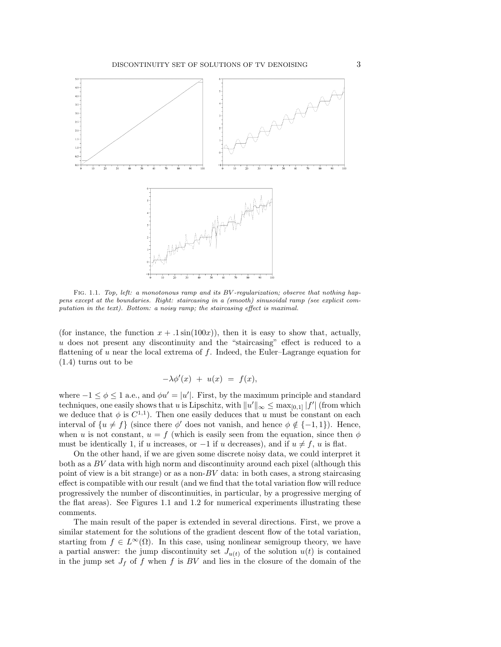

FIG. 1.1. Top, left: a monotonous ramp and its BV-regularization; observe that nothing happens except at the boundaries. Right: staircasing in a (smooth) sinusoidal ramp (see explicit computation in the text). Bottom: a noisy ramp; the staircasing effect is maximal.

(for instance, the function  $x + .1 \sin(100x)$ ), then it is easy to show that, actually, u does not present any discontinuity and the "staircasing" effect is reduced to a flattening of u near the local extrema of f. Indeed, the Euler–Lagrange equation for (1.4) turns out to be

$$
-\lambda \phi'(x) + u(x) = f(x),
$$

where  $-1 \leq \phi \leq 1$  a.e., and  $\phi u' = |u'|$ . First, by the maximum principle and standard techniques, one easily shows that u is Lipschitz, with  $||u'||_{\infty} \leq \max_{[0,1]} |f'|$  (from which we deduce that  $\phi$  is  $C^{1,1}$ ). Then one easily deduces that u must be constant on each interval of  $\{u \neq f\}$  (since there  $\phi'$  does not vanish, and hence  $\phi \notin \{-1,1\}$ ). Hence, when u is not constant,  $u = f$  (which is easily seen from the equation, since then  $\phi$ must be identically 1, if u increases, or  $-1$  if u decreases), and if  $u \neq f$ , u is flat.

On the other hand, if we are given some discrete noisy data, we could interpret it both as a BV data with high norm and discontinuity around each pixel (although this point of view is a bit strange) or as a non- $BV$  data: in both cases, a strong staircasing effect is compatible with our result (and we find that the total variation flow will reduce progressively the number of discontinuities, in particular, by a progressive merging of the flat areas). See Figures 1.1 and 1.2 for numerical experiments illustrating these comments.

The main result of the paper is extended in several directions. First, we prove a similar statement for the solutions of the gradient descent flow of the total variation, starting from  $f \in L^{\infty}(\Omega)$ . In this case, using nonlinear semigroup theory, we have a partial answer: the jump discontinuity set  $J_{u(t)}$  of the solution  $u(t)$  is contained in the jump set  $J_f$  of f when f is BV and lies in the closure of the domain of the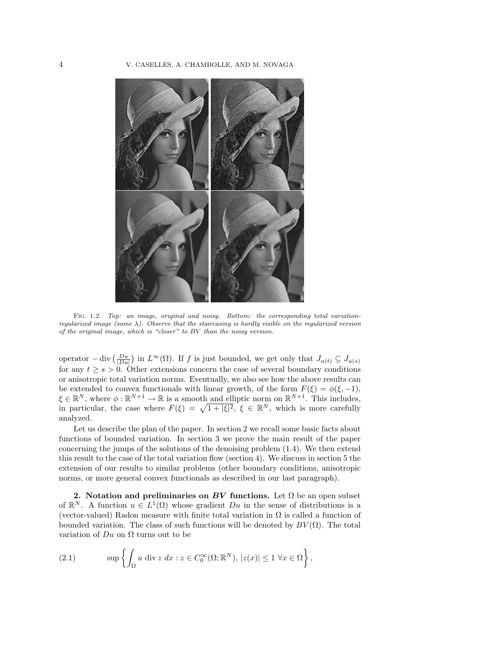

Fig. 1.2. Top: an image, original and noisy. Bottom: the corresponding total variationregularized image (same  $\lambda$ ). Observe that the staircasing is hardly visible on the regularized version of the original image, which is "closer" to BV than the noisy version.

operator  $-\text{ div } \left(\frac{Du}{|Du|}\right)$  in  $L^{\infty}(\Omega)$ . If f is just bounded, we get only that  $J_{u(t)} \subseteq J_{u(s)}$ for any  $t \geq s > 0$ . Other extensions concern the case of several boundary conditions or anisotropic total variation norms. Eventually, we also see how the above results can be extended to convex functionals with linear growth, of the form  $F(\xi) = \phi(\xi, -1)$ ,  $\xi \in \mathbb{R}^N$ , where  $\phi : \mathbb{R}^{N+1} \to \mathbb{R}$  is a smooth and elliptic norm on  $\mathbb{R}^{N+1}$ . This includes, in particular, the case where  $F(\xi) = \sqrt{1 + |\xi|^2}$ ,  $\xi \in \mathbb{R}^N$ , which is more carefully analyzed.

Let us describe the plan of the paper. In section 2 we recall some basic facts about functions of bounded variation. In section 3 we prove the main result of the paper concerning the jumps of the solutions of the denoising problem (1.4). We then extend this result to the case of the total variation flow (section 4). We discuss in section 5 the extension of our results to similar problems (other boundary conditions, anisotropic norms, or more general convex functionals as described in our last paragraph).

**2.** Notation and preliminaries on BV functions. Let  $\Omega$  be an open subset of  $\mathbb{R}^N$ . A function  $u \in L^1(\Omega)$  whose gradient  $Du$  in the sense of distributions is a (vector-valued) Radon measure with finite total variation in  $\Omega$  is called a function of bounded variation. The class of such functions will be denoted by  $BV(\Omega)$ . The total variation of  $Du$  on  $\Omega$  turns out to be

(2.1) 
$$
\sup \left\{ \int_{\Omega} u \, \text{div } z \, dx : z \in C_0^{\infty}(\Omega; \mathbb{R}^N), |z(x)| \leq 1 \, \forall x \in \Omega \right\},
$$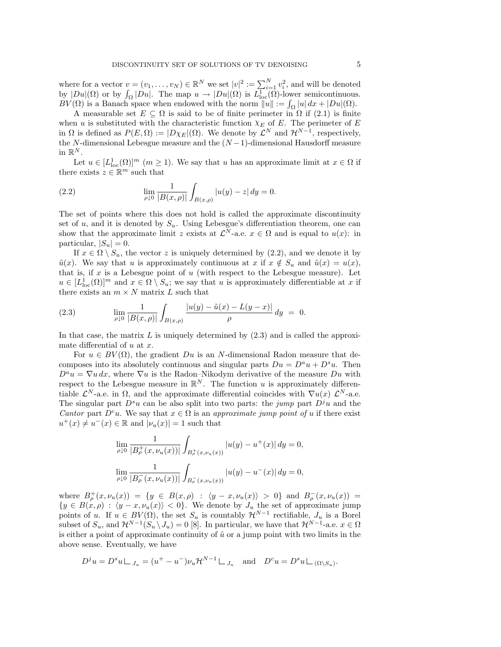where for a vector  $v = (v_1, \ldots, v_N) \in \mathbb{R}^N$  we set  $|v|^2 := \sum_{i=1}^N v_i^2$ , and will be denoted by  $|Du|(\Omega)$  or by  $\int_{\Omega}|Du|$ . The map  $u \to |Du|(\Omega)$  is  $L_{\text{loc}}^{1}(\overline{\Omega})$ -lower semicontinuous.  $BV(\Omega)$  is a Banach space when endowed with the norm  $||u|| := \int_{\Omega} |u| dx + |Du|(\Omega)$ .

A measurable set  $E \subseteq \Omega$  is said to be of finite perimeter in  $\Omega$  if (2.1) is finite when u is substituted with the characteristic function  $\chi_E$  of E. The perimeter of E in  $\Omega$  is defined as  $P(E, \Omega) := |D \chi_E|(\Omega)$ . We denote by  $\mathcal{L}^N$  and  $\mathcal{H}^{N-1}$ , respectively, the N-dimensional Lebesgue measure and the  $(N-1)$ -dimensional Hausdorff measure in  $\mathbb{R}^N$ .

Let  $u \in [L^1_{loc}(\Omega)]^m$   $(m \ge 1)$ . We say that u has an approximate limit at  $x \in \Omega$  if there exists  $z \in \mathbb{R}^m$  such that

(2.2) 
$$
\lim_{\rho \downarrow 0} \frac{1}{|B(x,\rho)|} \int_{B(x,\rho)} |u(y) - z| dy = 0.
$$

The set of points where this does not hold is called the approximate discontinuity set of u, and it is denoted by  $S_u$ . Using Lebesgue's differentiation theorem, one can show that the approximate limit z exists at  $\mathcal{L}^N$ -a.e.  $x \in \Omega$  and is equal to  $u(x)$ : in particular,  $|S_u| = 0$ .

If  $x \in \Omega \setminus S_u$ , the vector z is uniquely determined by (2.2), and we denote it by  $\tilde{u}(x)$ . We say that u is approximately continuous at x if  $x \notin S_u$  and  $\tilde{u}(x) = u(x)$ , that is, if  $x$  is a Lebesgue point of  $u$  (with respect to the Lebesgue measure). Let  $u \in [L^1_{loc}(\Omega)]^m$  and  $x \in \Omega \setminus S_u$ ; we say that u is approximately differentiable at x if there exists an  $m \times N$  matrix  $L$  such that

(2.3) 
$$
\lim_{\rho \downarrow 0} \frac{1}{|B(x,\rho)|} \int_{B(x,\rho)} \frac{|u(y) - \tilde{u}(x) - L(y-x)|}{\rho} dy = 0.
$$

In that case, the matrix  $L$  is uniquely determined by  $(2.3)$  and is called the approximate differential of  $u$  at  $x$ .

For  $u \in BV(\Omega)$ , the gradient Du is an N-dimensional Radon measure that decomposes into its absolutely continuous and singular parts  $Du = D^a u + D^s u$ . Then  $D^a u = \nabla u dx$ , where  $\nabla u$  is the Radon–Nikodym derivative of the measure  $Du$  with respect to the Lebesgue measure in  $\mathbb{R}^N$ . The function u is approximately differentiable  $\mathcal{L}^N$ -a.e. in  $\Omega$ , and the approximate differential coincides with  $\nabla u(x) \mathcal{L}^N$ -a.e. The singular part  $D^s u$  can be also split into two parts: the jump part  $D^j u$  and the Cantor part  $D^c u$ . We say that  $x \in \Omega$  is an approximate jump point of u if there exist  $u^+(x) \neq u^-(x) \in \mathbb{R}$  and  $|\nu_u(x)| = 1$  such that

$$
\lim_{\rho\downarrow 0} \frac{1}{|B^+_{\rho}(x,\nu_u(x))|} \int_{B^+_{\rho}(x,\nu_u(x))} |u(y)-u^+(x)|\,dy = 0,
$$
  

$$
\lim_{\rho\downarrow 0} \frac{1}{|B^-_{\rho}(x,\nu_u(x))|} \int_{B^-_{\rho}(x,\nu_u(x))} |u(y)-u^-(x)|\,dy = 0,
$$

where  $B_{\rho}^+(x,\nu_u(x)) = \{y \in B(x,\rho) : \langle y-x,\nu_u(x) \rangle > 0\}$  and  $B_{\rho}^-(x,\nu_u(x)) =$  ${y \in B(x, \rho) : \langle y - x, \nu_u(x) \rangle < 0}.$  We denote by  $J_u$  the set of approximate jump points of u. If  $u \in BV(\Omega)$ , the set  $S_u$  is countably  $\mathcal{H}^{N-1}$  rectifiable,  $J_u$  is a Borel subset of  $S_u$ , and  $\mathcal{H}^{N-1}(S_u \setminus J_u) = 0$  [8]. In particular, we have that  $\mathcal{H}^{N-1}$ -a.e.  $x \in \Omega$ is either a point of approximate continuity of  $\tilde{u}$  or a jump point with two limits in the above sense. Eventually, we have

$$
D^j u = D^s u \sqcup_{J_u} = (u^+ - u^-) \nu_u \mathcal{H}^{N-1} \sqcup_{J_u} \text{ and } D^c u = D^s u \sqcup_{(\Omega \setminus S_u)}.
$$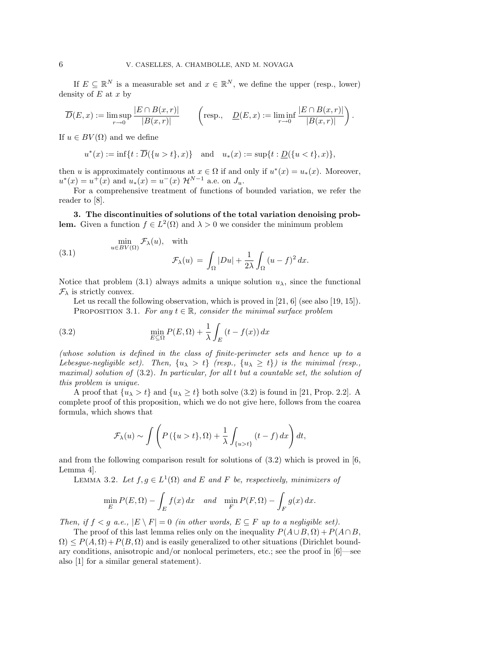If  $E \subseteq \mathbb{R}^N$  is a measurable set and  $x \in \mathbb{R}^N$ , we define the upper (resp., lower) density of  $E$  at  $x$  by

$$
\overline{D}(E,x) := \limsup_{r\to 0} \frac{|E \cap B(x,r)|}{|B(x,r)|} \qquad \left(\text{resp.,}\quad \underline{D}(E,x) := \liminf_{r\to 0} \frac{|E \cap B(x,r)|}{|B(x,r)|}\right).
$$

If  $u \in BV(\Omega)$  and we define

 $u^*(x) := \inf\{t : \overline{D}(\{u>t\},x)\}$  and  $u_*(x) := \sup\{t : \underline{D}(\{u$ 

then u is approximately continuous at  $x \in \Omega$  if and only if  $u^*(x) = u_*(x)$ . Moreover,  $u^*(x) = u^+(x)$  and  $u_*(x) = u^-(x) \mathcal{H}^{N-1}$  a.e. on  $J_u$ .

For a comprehensive treatment of functions of bounded variation, we refer the reader to [8].

**3. The discontinuities of solutions of the total variation denoising problem.** Given a function  $f \in L^2(\Omega)$  and  $\lambda > 0$  we consider the minimum problem

(3.1) 
$$
\min_{u \in BV(\Omega)} \mathcal{F}_{\lambda}(u), \quad \text{with}
$$

$$
\mathcal{F}_{\lambda}(u) = \int_{\Omega} |Du| + \frac{1}{2\lambda} \int_{\Omega} (u - f)^2 dx.
$$

Notice that problem (3.1) always admits a unique solution  $u_{\lambda}$ , since the functional  $\mathcal{F}_{\lambda}$  is strictly convex.

Let us recall the following observation, which is proved in  $[21, 6]$  (see also  $[19, 15]$ ). PROPOSITION 3.1. For any  $t \in \mathbb{R}$ , consider the minimal surface problem

(3.2) 
$$
\min_{E \subseteq \Omega} P(E, \Omega) + \frac{1}{\lambda} \int_{E} (t - f(x)) dx
$$

(whose solution is defined in the class of finite-perimeter sets and hence up to a Lebesgue-negligible set). Then,  $\{u_{\lambda} > t\}$  (resp.,  $\{u_{\lambda} \geq t\}$ ) is the minimal (resp., maximal) solution of  $(3.2)$ . In particular, for all t but a countable set, the solution of this problem is unique.

A proof that  $\{u_{\lambda} > t\}$  and  $\{u_{\lambda} \geq t\}$  both solve (3.2) is found in [21, Prop. 2.2]. A complete proof of this proposition, which we do not give here, follows from the coarea formula, which shows that

$$
\mathcal{F}_{\lambda}(u) \sim \int \left( P(\{u > t\}, \Omega) + \frac{1}{\lambda} \int_{\{u > t\}} (t - f) dx \right) dt,
$$

and from the following comparison result for solutions of (3.2) which is proved in [6, Lemma 4].

LEMMA 3.2. Let  $f, g \in L^1(\Omega)$  and E and F be, respectively, minimizers of

$$
\min_{E} P(E, \Omega) - \int_{E} f(x) dx \quad and \quad \min_{F} P(F, \Omega) - \int_{F} g(x) dx.
$$

Then, if  $f < g$  a.e.,  $|E \setminus F| = 0$  (in other words,  $E \subseteq F$  up to a negligible set).

The proof of this last lemma relies only on the inequality  $P(A\cup B,\Omega) + P(A\cap B,$  $\Omega$ )  $\leq P(A, \Omega) + P(B, \Omega)$  and is easily generalized to other situations (Dirichlet boundary conditions, anisotropic and/or nonlocal perimeters, etc.; see the proof in [6]—see also [1] for a similar general statement).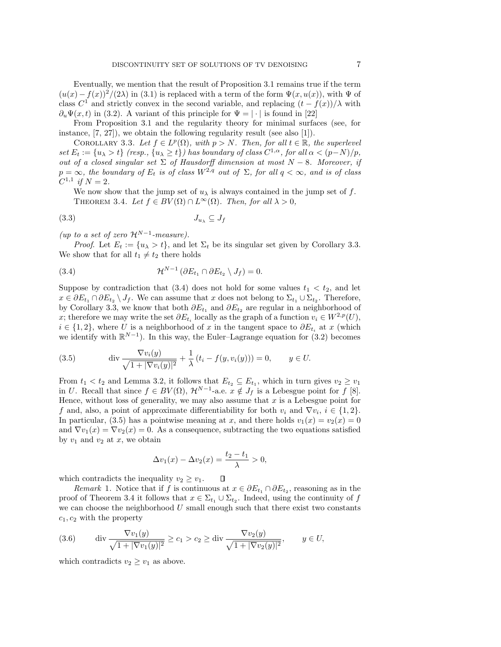Eventually, we mention that the result of Proposition 3.1 remains true if the term  $(u(x) - f(x))^2/(2\lambda)$  in (3.1) is replaced with a term of the form  $\Psi(x, u(x))$ , with  $\Psi$  of class  $C^1$  and strictly convex in the second variable, and replacing  $(t - f(x))/\lambda$  with  $\partial_{u}\Psi(x,t)$  in (3.2). A variant of this principle for  $\Psi = |\cdot|$  is found in [22]

From Proposition 3.1 and the regularity theory for minimal surfaces (see, for instance, [7, 27]), we obtain the following regularity result (see also [1]).

COROLLARY 3.3. Let  $f \in L^p(\Omega)$ , with  $p > N$ . Then, for all  $t \in \mathbb{R}$ , the superlevel set  $E_t := \{u_\lambda > t\}$  (resp.,  $\{u_\lambda \geq t\}$ ) has boundary of class  $C^{1,\alpha}$ , for all  $\alpha < (p-N)/p$ , out of a closed singular set  $\Sigma$  of Hausdorff dimension at most  $N-8$ . Moreover, if  $p = \infty$ , the boundary of  $E_t$  is of class  $W^{2,q}$  out of  $\Sigma$ , for all  $q < \infty$ , and is of class  $C^{1,1}$  if  $N = 2$ .

We now show that the jump set of  $u_{\lambda}$  is always contained in the jump set of f. THEOREM 3.4. Let  $f \in BV(\Omega) \cap L^{\infty}(\Omega)$ . Then, for all  $\lambda > 0$ ,

$$
(3.3) \t\t J_{u_{\lambda}} \subseteq J_f
$$

(up to a set of zero  $\mathcal{H}^{N-1}$ -measure).

*Proof.* Let  $E_t := \{u_\lambda > t\}$ , and let  $\Sigma_t$  be its singular set given by Corollary 3.3. We show that for all  $t_1 \neq t_2$  there holds

(3.4) 
$$
\mathcal{H}^{N-1}(\partial E_{t_1} \cap \partial E_{t_2} \setminus J_f) = 0.
$$

Suppose by contradiction that  $(3.4)$  does not hold for some values  $t_1 < t_2$ , and let  $x \in \partial E_{t_1} \cap \partial E_{t_2} \setminus J_f$ . We can assume that x does not belong to  $\Sigma_{t_1} \cup \Sigma_{t_2}$ . Therefore, by Corollary 3.3, we know that both  $\partial E_{t_1}$  and  $\partial E_{t_2}$  are regular in a neighborhood of x; therefore we may write the set  $\partial E_{t_i}$  locally as the graph of a function  $v_i \in W^{2,p}(U)$ ,  $i \in \{1, 2\}$ , where U is a neighborhood of x in the tangent space to  $\partial E_{t_i}$  at x (which we identify with  $\mathbb{R}^{N-1}$ ). In this way, the Euler–Lagrange equation for (3.2) becomes

(3.5) 
$$
\operatorname{div} \frac{\nabla v_i(y)}{\sqrt{1+|\nabla v_i(y)|^2}} + \frac{1}{\lambda} (t_i - f(y, v_i(y))) = 0, \qquad y \in U.
$$

From  $t_1 < t_2$  and Lemma 3.2, it follows that  $E_{t_2} \subseteq E_{t_1}$ , which in turn gives  $v_2 \geq v_1$ in U. Recall that since  $f \in BV(\Omega)$ ,  $\mathcal{H}^{N-1}$ -a.e.  $x \notin J_f$  is a Lebesgue point for f [8]. Hence, without loss of generality, we may also assume that  $x$  is a Lebesgue point for f and, also, a point of approximate differentiability for both  $v_i$  and  $\nabla v_i$ ,  $i \in \{1,2\}$ . In particular, (3.5) has a pointwise meaning at x, and there holds  $v_1(x) = v_2(x) = 0$ and  $\nabla v_1(x) = \nabla v_2(x) = 0$ . As a consequence, subtracting the two equations satisfied by  $v_1$  and  $v_2$  at  $x$ , we obtain

$$
\Delta v_1(x) - \Delta v_2(x) = \frac{t_2 - t_1}{\lambda} > 0,
$$

which contradicts the inequality  $v_2 \geq v_1$ .  $\Box$ 

Remark 1. Notice that if f is continuous at  $x \in \partial E_{t_1} \cap \partial E_{t_2}$ , reasoning as in the proof of Theorem 3.4 it follows that  $x \in \Sigma_{t_1} \cup \Sigma_{t_2}$ . Indeed, using the continuity of f we can choose the neighborhood  $U$  small enough such that there exist two constants  $c_1, c_2$  with the property

(3.6) div 
$$
\frac{\nabla v_1(y)}{\sqrt{1+|\nabla v_1(y)|^2}} \ge c_1 > c_2 \ge \text{div } \frac{\nabla v_2(y)}{\sqrt{1+|\nabla v_2(y)|^2}}, \quad y \in U,
$$

which contradicts  $v_2 \geq v_1$  as above.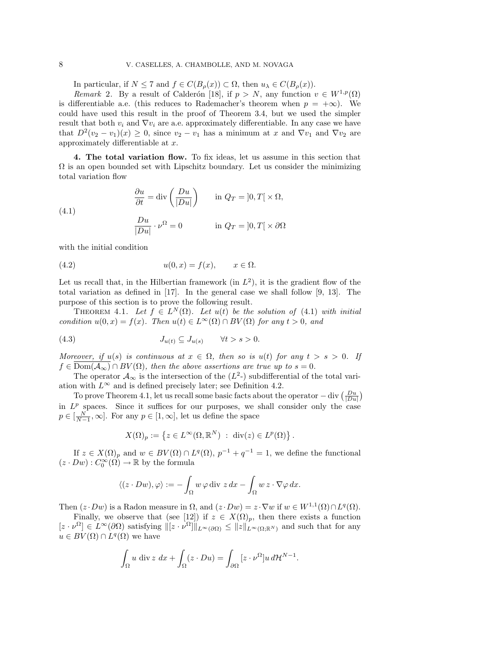In particular, if  $N \leq 7$  and  $f \in C(B_{\rho}(x)) \subset \Omega$ , then  $u_{\lambda} \in C(B_{\rho}(x))$ .

Remark 2. By a result of Calderón [18], if  $p>N$ , any function  $v \in W^{1,p}(\Omega)$ is differentiable a.e. (this reduces to Rademacher's theorem when  $p = +\infty$ ). We could have used this result in the proof of Theorem 3.4, but we used the simpler result that both  $v_i$  and  $\nabla v_i$  are a.e. approximately differentiable. In any case we have that  $D^2(v_2 - v_1)(x) \geq 0$ , since  $v_2 - v_1$  has a minimum at x and  $\nabla v_1$  and  $\nabla v_2$  are approximately differentiable at x.

**4. The total variation flow.** To fix ideas, let us assume in this section that  $\Omega$  is an open bounded set with Lipschitz boundary. Let us consider the minimizing total variation flow

(4.1) 
$$
\frac{\partial u}{\partial t} = \text{div}\left(\frac{Du}{|Du|}\right) \qquad \text{in } Q_T = ]0, T[ \times \Omega,
$$

$$
\frac{Du}{|Du|} \cdot \nu^{\Omega} = 0 \qquad \text{in } Q_T = ]0, T[ \times \partial \Omega
$$

with the initial condition

$$
(4.2) \t\t u(0,x) = f(x), \t x \in \Omega.
$$

Let us recall that, in the Hilbertian framework (in  $L^2$ ), it is the gradient flow of the total variation as defined in [17]. In the general case we shall follow [9, 13]. The purpose of this section is to prove the following result.

THEOREM 4.1. Let  $f \in L^N(\Omega)$ . Let  $u(t)$  be the solution of (4.1) with initial condition  $u(0, x) = f(x)$ . Then  $u(t) \in L^{\infty}(\Omega) \cap BV(\Omega)$  for any  $t > 0$ , and

(4.3) 
$$
J_{u(t)} \subseteq J_{u(s)} \quad \forall t > s > 0.
$$

Moreover, if  $u(s)$  is continuous at  $x \in \Omega$ , then so is  $u(t)$  for any  $t > s > 0$ . If  $f \in \text{Dom}(\overline{A_{\infty}}) \cap BV(\Omega)$ , then the above assertions are true up to  $s = 0$ .

The operator  $\mathcal{A}_{\infty}$  is the intersection of the  $(L^2)$  subdifferential of the total variation with  $L^{\infty}$  and is defined precisely later; see Definition 4.2.

To prove Theorem 4.1, let us recall some basic facts about the operator  $-\text{div}(\frac{Du}{|Du|})$ in  $L^p$  spaces. Since it suffices for our purposes, we shall consider only the case  $p \in [\frac{N}{N-1}, \infty]$ . For any  $p \in [1, \infty]$ , let us define the space

$$
X(\Omega)_p := \left\{ z \in L^{\infty}(\Omega, \mathbb{R}^N) \ : \ \text{div}(z) \in L^p(\Omega) \right\}.
$$

If  $z \in X(\Omega)_p$  and  $w \in BV(\Omega) \cap L^q(\Omega)$ ,  $p^{-1} + q^{-1} = 1$ , we define the functional  $(z \cdot Dw) : C_0^{\infty}(\Omega) \to \mathbb{R}$  by the formula

$$
\langle (z \cdot Dw), \varphi \rangle := -\int_{\Omega} w \, \varphi \, \mathrm{div} \, z \, dx - \int_{\Omega} w \, z \cdot \nabla \varphi \, dx.
$$

Then  $(z \cdot Dw)$  is a Radon measure in  $\Omega$ , and  $(z \cdot Dw) = z \cdot \nabla w$  if  $w \in W^{1,1}(\Omega) \cap L^q(\Omega)$ .

Finally, we observe that (see [12]) if  $z \in X(\Omega)_p$ , then there exists a function  $[z \cdot \nu^{\Omega}] \in L^{\infty}(\partial \Omega)$  satisfying  $\| [z \cdot \nu^{\Omega}] \|_{L^{\infty}(\partial \Omega)} \leq \|z\|_{L^{\infty}(\Omega;\mathbb{R}^{N})}$  and such that for any  $u \in BV(\Omega) \cap L^q(\Omega)$  we have

$$
\int_{\Omega} u \, \mathrm{div} \, z \, dx + \int_{\Omega} (z \cdot Du) = \int_{\partial \Omega} [z \cdot \nu^{\Omega}] u \, d\mathcal{H}^{N-1}.
$$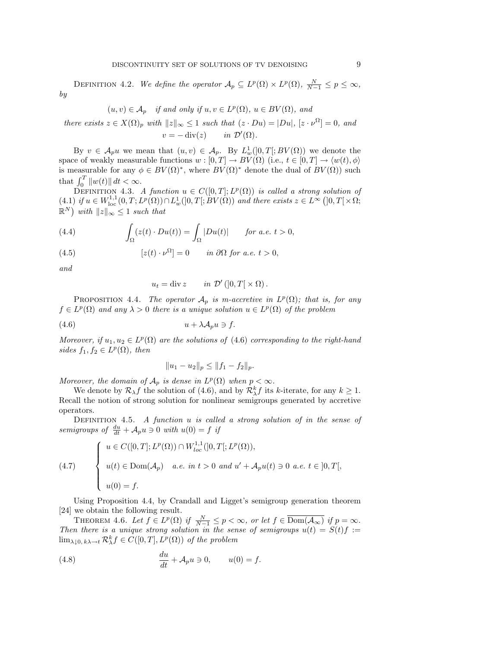DEFINITION 4.2. We define the operator  $\mathcal{A}_p \subseteq L^p(\Omega) \times L^p(\Omega)$ ,  $\frac{N}{N-1} \leq p \leq \infty$ , by

$$
(u, v) \in A_p
$$
 if and only if  $u, v \in L^p(\Omega)$ ,  $u \in BV(\Omega)$ , and

there exists  $z \in X(\Omega)$ <sub>p</sub> with  $||z||_{\infty} \leq 1$  such that  $(z \cdot Du) = |Du|$ ,  $[z \cdot \nu^{\Omega}] = 0$ , and  $v = -\operatorname{div}(z) \quad in \mathcal{D}'(\Omega).$ 

By  $v \in A_p u$  we mean that  $(u, v) \in A_p$ . By  $L^1_w([0, T[; BV(\Omega))$  we denote the space of weakly measurable functions  $w : [0, T] \to BV(\Omega)$  (i.e.,  $t \in [0, T] \to \langle w(t), \phi \rangle$ is measurable for any  $\phi \in BV(\Omega)^*$ , where  $BV(\Omega)^*$  denote the dual of  $BV(\Omega))$  such that  $\int_0^T \|w(t)\| dt < \infty$ .

DEFINITION 4.3. A function  $u \in C([0,T];L^p(\Omega))$  is called a strong solution of (4.1) if  $u \in W^{1,1}_{loc}(0,T; L^p(\Omega)) \cap L^1_w([0,T[; BV(\Omega))$  and there exists  $z \in L^{\infty}([0,T[ \times \Omega;$  $\mathbb{R}^N$ ) with  $||z||_{\infty} \leq 1$  such that

(4.4) 
$$
\int_{\Omega} (z(t) \cdot Du(t)) = \int_{\Omega} |Du(t)| \quad \text{for a.e. } t > 0,
$$

(4.5) 
$$
[z(t) \cdot \nu^{\Omega}] = 0 \quad in \partial \Omega \text{ for a.e. } t > 0,
$$

and

$$
u_t = \text{div}\, z \qquad in \ \mathcal{D}'\left(]0,T[\times\Omega\right).
$$

PROPOSITION 4.4. The operator  $\mathcal{A}_p$  is m-accretive in  $L^p(\Omega)$ ; that is, for any  $f \in L^p(\Omega)$  and any  $\lambda > 0$  there is a unique solution  $u \in L^p(\Omega)$  of the problem

$$
(4.6) \t\t u + \lambda \mathcal{A}_p u \ni f.
$$

Moreover, if  $u_1, u_2 \in L^p(\Omega)$  are the solutions of (4.6) corresponding to the right-hand sides  $f_1, f_2 \in L^p(\Omega)$ , then

$$
||u_1 - u_2||_p \le ||f_1 - f_2||_p.
$$

Moreover, the domain of  $A_p$  is dense in  $L^p(\Omega)$  when  $p < \infty$ .

We denote by  $\mathcal{R}_{\lambda} f$  the solution of (4.6), and by  $\mathcal{R}_{\lambda}^k f$  its k-iterate, for any  $k \geq 1$ . Recall the notion of strong solution for nonlinear semigroups generated by accretive operators.

DEFINITION 4.5. A function  $u$  is called a strong solution of in the sense of semigroups of  $\frac{du}{dt} + A_p u \ni 0$  with  $u(0) = f$  if

(4.7) 
$$
\begin{cases} u \in C([0, T]; L^p(\Omega)) \cap W_{loc}^{1,1}(]0, T[; L^p(\Omega)), \\ u(t) \in \text{Dom}(\mathcal{A}_p) \quad a.e. \ in \ t > 0 \ and \ u' + \mathcal{A}_p u(t) \ni 0 \ a.e. \ t \in [0, T[, \\ u(0) = f. \end{cases}
$$

Using Proposition 4.4, by Crandall and Ligget's semigroup generation theorem [24] we obtain the following result.

THEOREM 4.6. Let  $f \in L^p(\Omega)$  if  $\frac{N}{N-1} \leq p < \infty$ , or let  $f \in \overline{\mathrm{Dom}(\mathcal{A}_\infty)}$  if  $p = \infty$ . Then there is a unique strong solution in the sense of semigroups  $u(t) = S(t)f :=$  $\lim_{\lambda \downarrow 0, k\lambda \to t} \mathcal{R}^k_\lambda f \in C([0, T], L^p(\Omega))$  of the problem

(4.8) 
$$
\frac{du}{dt} + A_p u \ni 0, \qquad u(0) = f.
$$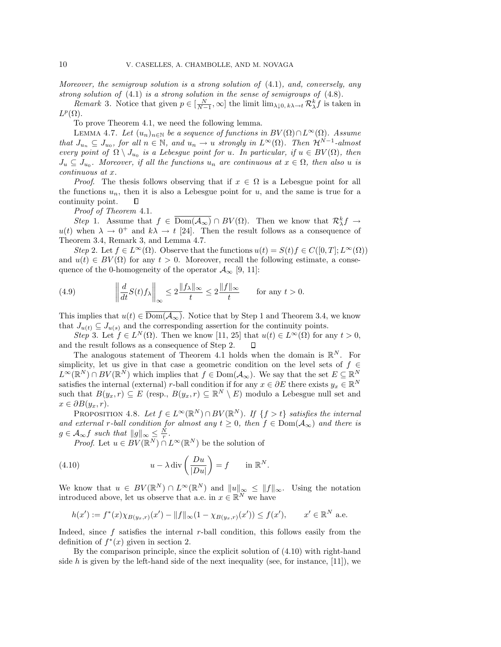Moreover, the semigroup solution is a strong solution of  $(4.1)$ , and, conversely, any strong solution of (4.1) is a strong solution in the sense of semigroups of (4.8).

*Remark* 3. Notice that given  $p \in [\frac{N}{N-1}, \infty]$  the limit  $\lim_{\lambda \downarrow 0, k\lambda \to t} \mathcal{R}_{\lambda}^k f$  is taken in  $L^p(\Omega)$ .

To prove Theorem 4.1, we need the following lemma.

LEMMA 4.7. Let  $(u_n)_{n\in\mathbb{N}}$  be a sequence of functions in  $BV(\Omega)\cap L^{\infty}(\Omega)$ . Assume that  $J_{u_n} \subseteq J_{u_0}$ , for all  $n \in \mathbb{N}$ , and  $u_n \to u$  strongly in  $L^{\infty}(\Omega)$ . Then  $\mathcal{H}^{N-1}$ -almost every point of  $\Omega \setminus J_{u_0}$  is a Lebesgue point for u. In particular, if  $u \in BV(\Omega)$ , then  $J_u \subseteq J_{u_0}$ . Moreover, if all the functions  $u_n$  are continuous at  $x \in \Omega$ , then also u is continuous at x.

*Proof.* The thesis follows observing that if  $x \in \Omega$  is a Lebesgue point for all the functions  $u_n$ , then it is also a Lebesgue point for u, and the same is true for a continuity point. Л

Proof of Theorem 4.1.

Step 1. Assume that  $f \in \overline{\mathrm{Dom}(\mathcal{A}_{\infty})} \cap BV(\Omega)$ . Then we know that  $\mathcal{R}^k_{\lambda} f \to$  $u(t)$  when  $\lambda \to 0^+$  and  $k\lambda \to t$  [24]. Then the result follows as a consequence of Theorem 3.4, Remark 3, and Lemma 4.7.

Step 2. Let  $f \in L^{\infty}(\Omega)$ . Observe that the functions  $u(t) = S(t)f \in C([0, T]; L^{\infty}(\Omega))$ and  $u(t) \in BV(\Omega)$  for any  $t > 0$ . Moreover, recall the following estimate, a consequence of the 0-homogeneity of the operator  $\mathcal{A}_{\infty}$  [9, 11]:

(4.9) 
$$
\left\| \frac{d}{dt} S(t) f_{\lambda} \right\|_{\infty} \leq 2 \frac{\|f_{\lambda}\|_{\infty}}{t} \leq 2 \frac{\|f\|_{\infty}}{t} \quad \text{for any } t > 0.
$$

This implies that  $u(t) \in \overline{\mathrm{Dom}(\mathcal{A}_{\infty})}$ . Notice that by Step 1 and Theorem 3.4, we know that  $J_{u(t)} \subseteq J_{u(s)}$  and the corresponding assertion for the continuity points.

Step 3. Let  $f \in L^N(\Omega)$ . Then we know [11, 25] that  $u(t) \in L^\infty(\Omega)$  for any  $t > 0$ , and the result follows as a consequence of Step 2.  $\Box$ 

The analogous statement of Theorem 4.1 holds when the domain is  $\mathbb{R}^N$ . For simplicity, let us give in that case a geometric condition on the level sets of  $f \in$  $L^{\infty}(\mathbb{R}^N) \cap BV(\mathbb{R}^N)$  which implies that  $f \in \text{Dom}(\mathcal{A}_{\infty})$ . We say that the set  $E \subseteq \mathbb{R}^N$ satisfies the internal (external) r-ball condition if for any  $x \in \partial E$  there exists  $y_x \in \mathbb{R}^N$ such that  $B(y_x, r) \subseteq E$  (resp.,  $B(y_x, r) \subseteq \mathbb{R}^N \setminus E$ ) modulo a Lebesgue null set and  $x \in \partial B(y_x, r)$ .

PROPOSITION 4.8. Let  $f \in L^{\infty}(\mathbb{R}^N) \cap BV(\mathbb{R}^N)$ . If  $\{f > t\}$  satisfies the internal and external r-ball condition for almost any  $t \geq 0$ , then  $f \in Dom(\mathcal{A}_{\infty})$  and there is  $g \in \mathcal{A}_{\infty} f$  such that  $||g||_{\infty} \leq \frac{N}{r}$ .

*Proof.* Let  $u \in BV(\mathbb{R}^N) \cap L^{\infty}(\mathbb{R}^N)$  be the solution of

(4.10) 
$$
u - \lambda \operatorname{div} \left( \frac{Du}{|Du|} \right) = f \quad \text{in } \mathbb{R}^N.
$$

We know that  $u \in BV(\mathbb{R}^N) \cap L^{\infty}(\mathbb{R}^N)$  and  $||u||_{\infty} \leq ||f||_{\infty}$ . Using the notation introduced above, let us observe that a.e. in  $x \in \mathbb{R}^N$  we have

$$
h(x') := f^*(x) \chi_{B(y_x,r)}(x') - ||f||_{\infty} (1 - \chi_{B(y_x,r)}(x')) \le f(x'), \qquad x' \in \mathbb{R}^N \text{ a.e.}
$$

Indeed, since  $f$  satisfies the internal r-ball condition, this follows easily from the definition of  $f^*(x)$  given in section 2.

By the comparison principle, since the explicit solution of (4.10) with right-hand side h is given by the left-hand side of the next inequality (see, for instance,  $[11]$ ), we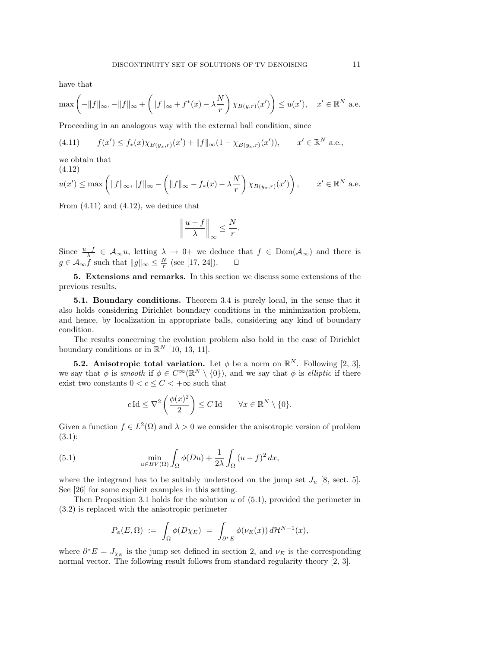have that

$$
\max\left(-\|f\|_{\infty}, -\|f\|_{\infty} + \left(\|f\|_{\infty} + f^*(x) - \lambda \frac{N}{r}\right) \chi_{B(y,r)}(x')\right) \le u(x'), \quad x' \in \mathbb{R}^N \text{ a.e.}
$$

Proceeding in an analogous way with the external ball condition, since

(4.11) 
$$
f(x') \le f_*(x) \chi_{B(y_x,r)}(x') + ||f||_{\infty} (1 - \chi_{B(y_x,r)}(x')), \qquad x' \in \mathbb{R}^N \text{ a.e.},
$$

we obtain that

$$
(4.12)
$$
  

$$
u(x') \leq \max\left(\|f\|_{\infty}, \|f\|_{\infty} - \left(\|f\|_{\infty} - f_*(x) - \lambda \frac{N}{r}\right) \chi_{B(y_x, r)}(x')\right), \qquad x' \in \mathbb{R}^N \text{ a.e.}
$$

From  $(4.11)$  and  $(4.12)$ , we deduce that

$$
\left\|\frac{u-f}{\lambda}\right\|_{\infty} \leq \frac{N}{r}.
$$

Since  $\frac{u-f}{\lambda} \in \mathcal{A}_{\infty}u$ , letting  $\lambda \to 0$ + we deduce that  $f \in \text{Dom}(\mathcal{A}_{\infty})$  and there is  $g \in \mathcal{A}_{\infty} f$  such that  $||g||_{\infty} \leq \frac{N}{r}$  (see [17, 24]).

**5. Extensions and remarks.** In this section we discuss some extensions of the previous results.

**5.1. Boundary conditions.** Theorem 3.4 is purely local, in the sense that it also holds considering Dirichlet boundary conditions in the minimization problem, and hence, by localization in appropriate balls, considering any kind of boundary condition.

The results concerning the evolution problem also hold in the case of Dirichlet boundary conditions or in  $\mathbb{R}^N$  [10, 13, 11].

**5.2. Anisotropic total variation.** Let  $\phi$  be a norm on  $\mathbb{R}^N$ . Following [2, 3], we say that  $\phi$  is smooth if  $\phi \in C^{\infty}(\mathbb{R}^N \setminus \{0\})$ , and we say that  $\phi$  is elliptic if there exist two constants  $0 < c \leq C < +\infty$  such that

$$
c \operatorname{Id} \leq \nabla^2 \left( \frac{\phi(x)^2}{2} \right) \leq C \operatorname{Id} \qquad \forall x \in \mathbb{R}^N \setminus \{0\}.
$$

Given a function  $f \in L^2(\Omega)$  and  $\lambda > 0$  we consider the anisotropic version of problem (3.1):

(5.1) 
$$
\min_{u \in BV(\Omega)} \int_{\Omega} \phi(Du) + \frac{1}{2\lambda} \int_{\Omega} (u - f)^2 dx,
$$

where the integrand has to be suitably understood on the jump set  $J_u$  [8, sect. 5]. See [26] for some explicit examples in this setting.

Then Proposition 3.1 holds for the solution  $u$  of  $(5.1)$ , provided the perimeter in (3.2) is replaced with the anisotropic perimeter

$$
P_{\phi}(E,\Omega) \; := \; \int_{\Omega} \phi(D\chi_E) \; = \; \int_{\partial^*E} \phi(\nu_E(x)) \, d\mathcal{H}^{N-1}(x),
$$

where  $\partial^* E = J_{\chi_E}$  is the jump set defined in section 2, and  $\nu_E$  is the corresponding normal vector. The following result follows from standard regularity theory [2, 3].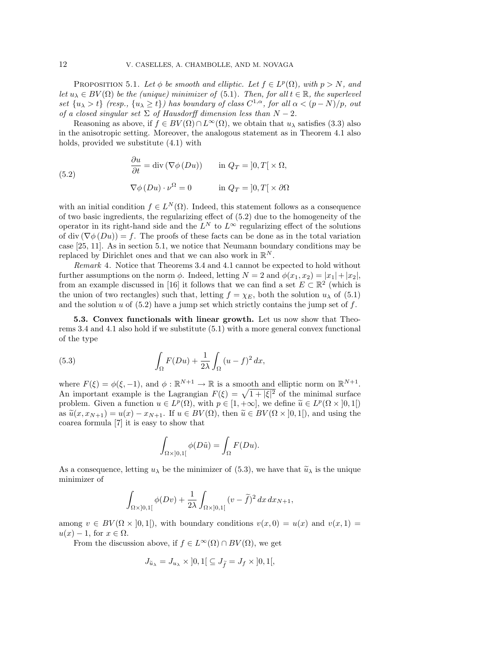PROPOSITION 5.1. Let  $\phi$  be smooth and elliptic. Let  $f \in L^p(\Omega)$ , with  $p > N$ , and let  $u_{\lambda} \in BV(\Omega)$  be the (unique) minimizer of (5.1). Then, for all  $t \in \mathbb{R}$ , the superlevel set  $\{u_{\lambda} > t\}$  (resp.,  $\{u_{\lambda} \geq t\}$ ) has boundary of class  $C^{1,\alpha}$ , for all  $\alpha < (p-N)/p$ , out of a closed singular set  $\Sigma$  of Hausdorff dimension less than  $N-2$ .

Reasoning as above, if  $f \in BV(\Omega) \cap L^{\infty}(\Omega)$ , we obtain that  $u_{\lambda}$  satisfies (3.3) also in the anisotropic setting. Moreover, the analogous statement as in Theorem 4.1 also holds, provided we substitute (4.1) with

(5.2) 
$$
\begin{aligned}\n\frac{\partial u}{\partial t} &= \text{div} (\nabla \phi (Du)) & \text{in } Q_T = [0, T] \times \Omega, \\
\nabla \phi (Du) \cdot \nu^{\Omega} &= 0 & \text{in } Q_T = [0, T] \times \partial \Omega\n\end{aligned}
$$

with an initial condition  $f \in L^N(\Omega)$ . Indeed, this statement follows as a consequence of two basic ingredients, the regularizing effect of (5.2) due to the homogeneity of the operator in its right-hand side and the  $L^N$  to  $L^\infty$  regularizing effect of the solutions of div  $(\nabla \phi(Du)) = f$ . The proofs of these facts can be done as in the total variation case [25, 11]. As in section 5.1, we notice that Neumann boundary conditions may be replaced by Dirichlet ones and that we can also work in  $\mathbb{R}^N$ .

Remark 4. Notice that Theorems 3.4 and 4.1 cannot be expected to hold without further assumptions on the norm  $\phi$ . Indeed, letting  $N = 2$  and  $\phi(x_1, x_2) = |x_1| + |x_2|$ , from an example discussed in [16] it follows that we can find a set  $E \subset \mathbb{R}^2$  (which is the union of two rectangles) such that, letting  $f = \chi_E$ , both the solution  $u_\lambda$  of (5.1) and the solution u of  $(5.2)$  have a jump set which strictly contains the jump set of f.

**5.3. Convex functionals with linear growth.** Let us now show that Theorems 3.4 and 4.1 also hold if we substitute (5.1) with a more general convex functional of the type

(5.3) 
$$
\int_{\Omega} F(Du) + \frac{1}{2\lambda} \int_{\Omega} (u - f)^2 dx,
$$

where  $F(\xi) = \phi(\xi, -1)$ , and  $\phi : \mathbb{R}^{N+1} \to \mathbb{R}$  is a smooth and elliptic norm on  $\mathbb{R}^{N+1}$ . An important example is the Lagrangian  $F(\xi) = \sqrt{1 + |\xi|^2}$  of the minimal surface problem. Given a function  $u \in L^p(\Omega)$ , with  $p \in [1, +\infty]$ , we define  $\widetilde{u} \in L^p(\Omega \times ]0, 1]$ as  $\tilde{u}(x, x_{N+1}) = u(x) - x_{N+1}$ . If  $u \in BV(\Omega)$ , then  $\tilde{u} \in BV(\Omega \times [0, 1])$ , and using the coarea formula [7] it is easy to show that

$$
\int_{\Omega\times ]0,1[}\phi(D\tilde u)=\int_\Omega F(Du).
$$

As a consequence, letting  $u_{\lambda}$  be the minimizer of (5.3), we have that  $\widetilde{u}_{\lambda}$  is the unique minimizer of

$$
\int_{\Omega\times]0,1[} \phi(Dv) + \frac{1}{2\lambda} \int_{\Omega\times]0,1[} (v-\tilde{f})^2 dx dx_{N+1},
$$

among  $v \in BV(\Omega \times [0,1])$ , with boundary conditions  $v(x, 0) = u(x)$  and  $v(x, 1) =$  $u(x) - 1$ , for  $x \in \Omega$ .

From the discussion above, if  $f \in L^{\infty}(\Omega) \cap BV(\Omega)$ , we get

$$
J_{\widetilde{u}_{\lambda}} = J_{u_{\lambda}} \times ]0,1[ \subseteq J_{\widetilde{f}} = J_f \times ]0,1[,
$$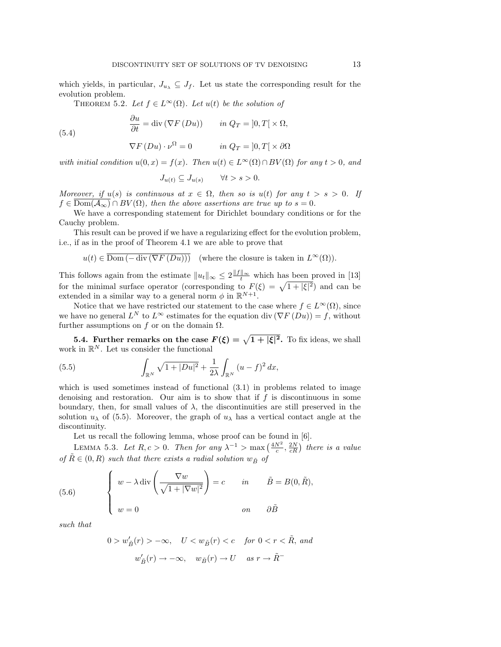which yields, in particular,  $J_{u\lambda} \subseteq J_f$ . Let us state the corresponding result for the evolution problem.

THEOREM 5.2. Let  $f \in L^{\infty}(\Omega)$ . Let  $u(t)$  be the solution of

$$
\frac{\partial u}{\partial t} = \text{div}(\nabla F(Du)) \qquad in \ Q_T = [0, T] \times \Omega,
$$

$$
\nabla F(Du) \cdot \nu^{\Omega} = 0 \qquad in \ Q_T = ]0, T[ \times \partial \Omega
$$

with initial condition  $u(0, x) = f(x)$ . Then  $u(t) \in L^{\infty}(\Omega) \cap BV(\Omega)$  for any  $t > 0$ , and

$$
J_{u(t)} \subseteq J_{u(s)} \qquad \forall t > s > 0.
$$

Moreover, if  $u(s)$  is continuous at  $x \in \Omega$ , then so is  $u(t)$  for any  $t > s > 0$ . If  $f \in \text{Dom}(\overline{A_{\infty}}) \cap BV(\Omega)$ , then the above assertions are true up to  $s = 0$ .

We have a corresponding statement for Dirichlet boundary conditions or for the Cauchy problem.

This result can be proved if we have a regularizing effect for the evolution problem, i.e., if as in the proof of Theorem 4.1 we are able to prove that

$$
u(t) \in \overline{\text{Dom}(-\text{div}(\nabla F(Du)))}
$$
 (where the closure is taken in  $L^{\infty}(\Omega)$ ).

This follows again from the estimate  $||u_t||_{\infty} \leq 2 \frac{||f||_{\infty}}{t}$  which has been proved in [13] for the minimal surface operator (corresponding to  $F(\xi) = \sqrt{1 + |\xi|^2}$ ) and can be extended in a similar way to a general norm  $\phi$  in  $\mathbb{R}^{N+1}$ .

Notice that we have restricted our statement to the case where  $f \in L^{\infty}(\Omega)$ , since we have no general  $L^N$  to  $L^{\infty}$  estimates for the equation div  $(\nabla F(Du)) = f$ , without further assumptions on f or on the domain  $\Omega$ .

**5.4. Further remarks on the case**  $F(\xi) = \sqrt{1 + |\xi|^2}$ **.** To fix ideas, we shall work in  $\mathbb{R}^N$ . Let us consider the functional

(5.5) 
$$
\int_{\mathbb{R}^N} \sqrt{1+|Du|^2} + \frac{1}{2\lambda} \int_{\mathbb{R}^N} (u-f)^2 dx,
$$

which is used sometimes instead of functional  $(3.1)$  in problems related to image denoising and restoration. Our aim is to show that if  $f$  is discontinuous in some boundary, then, for small values of  $\lambda$ , the discontinuities are still preserved in the solution  $u_{\lambda}$  of (5.5). Moreover, the graph of  $u_{\lambda}$  has a vertical contact angle at the discontinuity.

Let us recall the following lemma, whose proof can be found in [6].

LEMMA 5.3. Let  $R, c > 0$ . Then for any  $\lambda^{-1} > \max\left(\frac{4N^2}{c}, \frac{2N}{cR}\right)$  there is a value of  $\tilde{R} \in (0, R)$  such that there exists a radial solution  $w_{\tilde{R}}$  of

(5.6) 
$$
\begin{cases} w - \lambda \operatorname{div} \left( \frac{\nabla w}{\sqrt{1 + |\nabla w|^2}} \right) = c & \text{in} \quad \tilde{B} = B(0, \tilde{R}), \\ w = 0 & \text{on} \quad \partial \tilde{B} \end{cases}
$$

such that

(5.4)

$$
0 > w'_{\tilde{B}}(r) > -\infty, \quad U < w_{\tilde{B}}(r) < c \quad \text{for } 0 < r < \tilde{R}, \text{ and}
$$

$$
w'_{\tilde{B}}(r) \to -\infty, \quad w_{\tilde{B}}(r) \to U \quad \text{as } r \to \tilde{R}^-
$$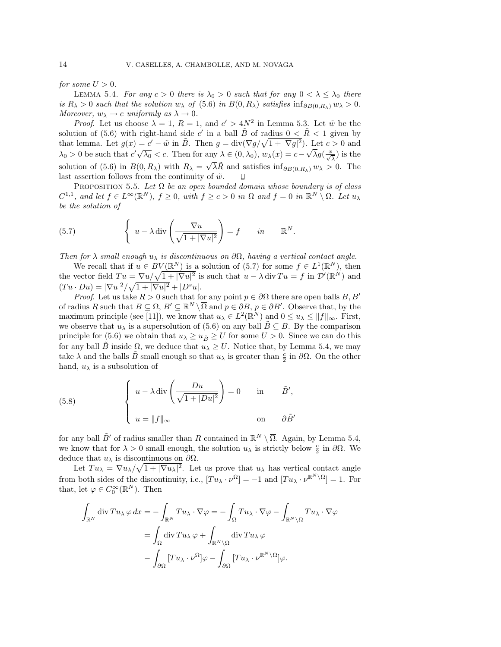for some  $U > 0$ .

LEMMA 5.4. For any  $c > 0$  there is  $\lambda_0 > 0$  such that for any  $0 < \lambda \leq \lambda_0$  there is  $R_{\lambda} > 0$  such that the solution  $w_{\lambda}$  of (5.6) in  $B(0, R_{\lambda})$  satisfies  $\inf_{\partial B(0, R_{\lambda})} w_{\lambda} > 0$ . Moreover,  $w_{\lambda} \rightarrow c$  uniformly as  $\lambda \rightarrow 0$ .

*Proof.* Let us choose  $\lambda = 1$ ,  $R = 1$ , and  $c' > 4N^2$  in Lemma 5.3. Let  $\tilde{w}$  be the solution of (5.6) with right-hand side c' in a ball  $\tilde{B}$  of radius  $0 < \tilde{R} < 1$  given by that lemma. Let  $g(x) = c' - \tilde{w}$  in  $\tilde{B}$ . Then  $g = \text{div}(\nabla g / \sqrt{1 + |\nabla g|^2})$ . Let  $c > 0$  and that lemma. Let  $g(x) = c - w$  in *D*. Then  $g = \text{div}(y) + \text{div}(y) + \text{div}(y)$ . Let  $c > 0$  and  $\lambda_0 > 0$  be such that  $c' \sqrt{\lambda_0} < c$ . Then for any  $\lambda \in (0, \lambda_0), w_\lambda(x) = c - \sqrt{\lambda} g(\frac{x}{\sqrt{\lambda}})$  is the solution of (5.6) in  $B(0, R_\lambda)$  with  $R_\lambda = \sqrt{\lambda} \tilde{R}$  and satisfies  $\inf_{\partial B(0, R_\lambda)} w_\lambda > 0$ . The last assertion follows from the continuity of  $\tilde{w}$ . ◧

PROPOSITION 5.5. Let  $\Omega$  be an open bounded domain whose boundary is of class  $C^{1,1}$ , and let  $f \in L^{\infty}(\mathbb{R}^N)$ ,  $f \geq 0$ , with  $f \geq c > 0$  in  $\Omega$  and  $f = 0$  in  $\mathbb{R}^N \setminus \Omega$ . Let  $u_{\lambda}$ be the solution of

(5.7) 
$$
\left\{ u - \lambda \operatorname{div} \left( \frac{\nabla u}{\sqrt{1 + |\nabla u|^2}} \right) = f \quad in \quad \mathbb{R}^N.
$$

Then for  $\lambda$  small enough  $u_{\lambda}$  is discontinuous on  $\partial\Omega$ , having a vertical contact angle.

We recall that if  $u \in BV(\mathbb{R}^N)$  is a solution of (5.7) for some  $f \in L^1(\mathbb{R}^N)$ , then the vector field  $Tu = \nabla u / \sqrt{1 + |\nabla u|^2}$  is such that  $u - \lambda \operatorname{div} Tu = f$  in  $\mathcal{D}'(\mathbb{R}^N)$  and  $(Tu \cdot Du) = |\nabla u|^2 / \sqrt{1 + |\nabla u|^2} + |D^s u|.$ 

*Proof.* Let us take  $R > 0$  such that for any point  $p \in \partial\Omega$  there are open balls  $B, B'$ of radius R such that  $B \subseteq \Omega$ ,  $B' \subseteq \mathbb{R}^N \setminus \overline{\Omega}$  and  $p \in \partial B$ ,  $p \in \partial B'$ . Observe that, by the maximum principle (see [11]), we know that  $u_{\lambda} \in L^2(\mathbb{R}^N)$  and  $0 \leq u_{\lambda} \leq ||f||_{\infty}$ . First, we observe that  $u_\lambda$  is a supersolution of (5.6) on any ball  $B \subseteq B$ . By the comparison principle for (5.6) we obtain that  $u_{\lambda} \geq u_{\tilde{B}} \geq U$  for some  $U > 0$ . Since we can do this for any ball B inside  $\Omega$ , we deduce that  $u_{\lambda} \geq U$ . Notice that, by Lemma 5.4, we may take  $\lambda$  and the balls  $\tilde{B}$  small enough so that  $u_\lambda$  is greater than  $\frac{c}{2}$  in  $\partial\Omega$ . On the other hand,  $u_{\lambda}$  is a subsolution of

(5.8) 
$$
\begin{cases} u - \lambda \operatorname{div} \left( \frac{Du}{\sqrt{1 + |Du|^2}} \right) = 0 & \text{in} \quad \tilde{B}', \\ u = ||f||_{\infty} & \text{on} \quad \partial \tilde{B}' \end{cases}
$$

for any ball  $\tilde{B}'$  of radius smaller than R contained in  $\mathbb{R}^N \setminus \overline{\Omega}$ . Again, by Lemma 5.4, we know that for  $\lambda > 0$  small enough, the solution  $u_{\lambda}$  is strictly below  $\frac{c}{2}$  in  $\partial\Omega$ . We deduce that  $u_\lambda$  is discontinuous on  $\partial\Omega$ .

Let  $Tu_{\lambda} = \nabla u_{\lambda}/\sqrt{1+|\nabla u_{\lambda}|^2}$ . Let us prove that  $u_{\lambda}$  has vertical contact angle from both sides of the discontinuity, i.e.,  $[T u_{\lambda} \cdot \nu^{\Omega}] = -1$  and  $[T u_{\lambda} \cdot \nu^{\mathbb{R}^{N} \setminus \Omega}] = 1$ . For that, let  $\varphi \in C_0^{\infty}(\mathbb{R}^N)$ . Then

$$
\int_{\mathbb{R}^N} \operatorname{div} Tu_{\lambda} \varphi \, dx = -\int_{\mathbb{R}^N} Tu_{\lambda} \cdot \nabla \varphi = -\int_{\Omega} Tu_{\lambda} \cdot \nabla \varphi - \int_{\mathbb{R}^N \setminus \Omega} Tu_{\lambda} \cdot \nabla \varphi
$$

$$
= \int_{\Omega} \operatorname{div} Tu_{\lambda} \varphi + \int_{\mathbb{R}^N \setminus \Omega} \operatorname{div} Tu_{\lambda} \varphi
$$

$$
- \int_{\partial \Omega} [Tu_{\lambda} \cdot \nu^{\Omega}] \varphi - \int_{\partial \Omega} [Tu_{\lambda} \cdot \nu^{\mathbb{R}^N \setminus \Omega}] \varphi.
$$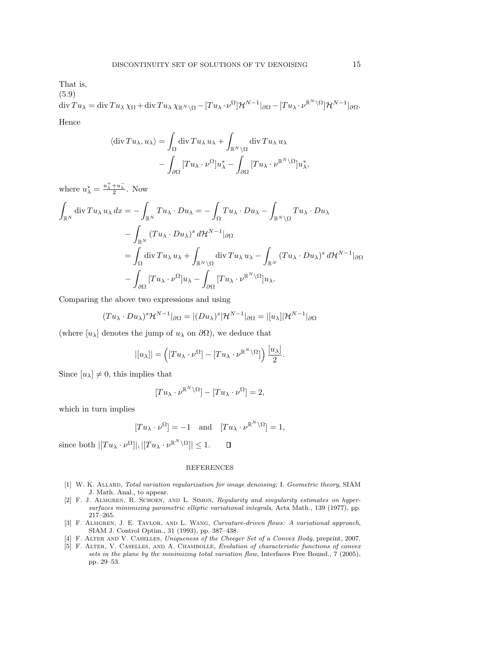That is, (5.9)

$$
\operatorname{div} Tu_{\lambda} = \operatorname{div} Tu_{\lambda} \chi_{\Omega} + \operatorname{div} Tu_{\lambda} \chi_{\mathbb{R}^N \setminus \Omega} - [Tu_{\lambda} \cdot \nu^{\Omega}] \mathcal{H}^{N-1} |_{\partial \Omega} - [Tu_{\lambda} \cdot \nu^{\mathbb{R}^N \setminus \Omega}] \mathcal{H}^{N-1} |_{\partial \Omega}.
$$
  
Hence

$$
\langle \operatorname{div} T u_{\lambda}, u_{\lambda} \rangle = \int_{\Omega} \operatorname{div} T u_{\lambda} u_{\lambda} + \int_{\mathbb{R}^N \setminus \Omega} \operatorname{div} T u_{\lambda} u_{\lambda} - \int_{\partial \Omega} [T u_{\lambda} \cdot \nu^{\Omega}] u_{\lambda}^* - \int_{\partial \Omega} [T u_{\lambda} \cdot \nu^{\mathbb{R}^N \setminus \Omega}] u_{\lambda}^*,
$$

where  $u_{\lambda}^* = \frac{u_{\lambda}^+ + u_{\lambda}^-}{2}$ . Now

$$
\int_{\mathbb{R}^N} \operatorname{div} Tu_{\lambda} u_{\lambda} dx = -\int_{\mathbb{R}^N} Tu_{\lambda} \cdot Du_{\lambda} = -\int_{\Omega} Tu_{\lambda} \cdot Du_{\lambda} - \int_{\mathbb{R}^N \setminus \Omega} Tu_{\lambda} \cdot Du_{\lambda}
$$

$$
- \int_{\mathbb{R}^N} (Tu_{\lambda} \cdot Du_{\lambda})^s d\mathcal{H}^{N-1} |_{\partial \Omega}
$$

$$
= \int_{\Omega} \operatorname{div} Tu_{\lambda} u_{\lambda} + \int_{\mathbb{R}^N \setminus \Omega} \operatorname{div} Tu_{\lambda} u_{\lambda} - \int_{\mathbb{R}^N} (Tu_{\lambda} \cdot Du_{\lambda})^s d\mathcal{H}^{N-1} |_{\partial \Omega}
$$

$$
- \int_{\partial \Omega} [Tu_{\lambda} \cdot \nu^{\Omega}] u_{\lambda} - \int_{\partial \Omega} [Tu_{\lambda} \cdot \nu^{\mathbb{R}^N \setminus \Omega}] u_{\lambda}.
$$

Comparing the above two expressions and using

$$
(Tu_{\lambda} \cdot Du_{\lambda})^{s} \mathcal{H}^{N-1}|_{\partial \Omega} = |(Du_{\lambda})^{s} |\mathcal{H}^{N-1}|_{\partial \Omega} = |[u_{\lambda}]|\mathcal{H}^{N-1}|_{\partial \Omega}
$$

(where  $[u_\lambda]$  denotes the jump of  $u_\lambda$  on  $\partial\Omega$ ), we deduce that

$$
|[u_\lambda]| = \left([Tu_\lambda \cdot \nu^{\Omega}] - [Tu_\lambda \cdot \nu^{\mathbb{R}^N \setminus \Omega}]\right) \frac{[u_\lambda]}{2}.
$$

Since  $[u_\lambda] \neq 0$ , this implies that

$$
[Tu_{\lambda} \cdot \nu^{\mathbb{R}^N \setminus \Omega}] - [Tu_{\lambda} \cdot \nu^{\Omega}] = 2,
$$

which in turn implies

$$
[Tu_{\lambda} \cdot \nu^{\Omega}] = -1
$$
 and  $[Tu_{\lambda} \cdot \nu^{\mathbb{R}^N \setminus \Omega}] = 1$ ,

since both  $|[Tu_\lambda \cdot \nu^{\Omega}]|, |[Tu_\lambda \cdot \nu^{\mathbb{R}^N \setminus \Omega}]| \leq 1.$  $\Box$ 

## REFERENCES

- [1] W. K. ALLARD, Total variation regularization for image denoising; I. Geometric theory, SIAM J. Math. Anal., to appear.
- [2] F. J. Almgren, R. Schoen, and L. Simon, Regularity and singularity estimates on hypersurfaces minimizing parametric elliptic variational integrals, Acta Math., 139 (1977), pp. 217–265.
- [3] F. Almgren, J. E. Taylor, and L. Wang, Curvature-driven flows: A variational approach, SIAM J. Control Optim., 31 (1993), pp. 387–438.
- [4] F. Alter and V. Caselles, Uniqueness of the Cheeger Set of a Convex Body, preprint, 2007.
- [5] F. Alter, V. Caselles, and A. Chambolle, Evolution of characteristic functions of convex sets in the plane by the minimizing total variation flow, Interfaces Free Bound., 7 (2005), pp. 29–53.